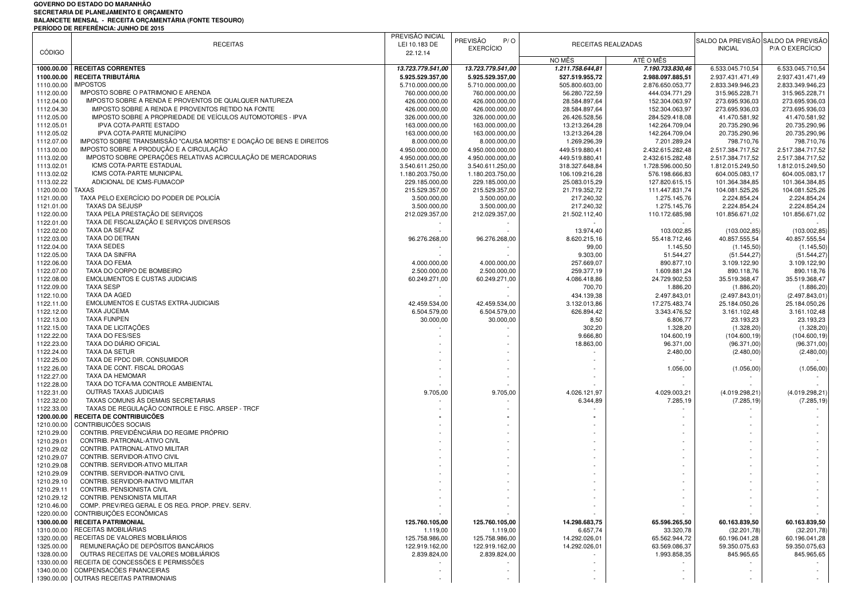## **GOVERNO DO ESTADO DO MARANHÃO**SECRETARIA DE PLANEJAMENTO E ORÇAMENTO<br>BALANCETE MENSAL - RECEITA ORÇAMENTÁRIA (FONTE TESOURO)<br>PERÍODO DE REFERÊNCIA: JUNHO DE 2015

|               | ENDS BE HER ENERGIA: CONTIG BE FOR                                   | PREVISÃO INICIAL  |                   |                  |                     |                  |                                     |
|---------------|----------------------------------------------------------------------|-------------------|-------------------|------------------|---------------------|------------------|-------------------------------------|
|               | <b>RECEITAS</b>                                                      | LEI 10.183 DE     | PREVISÃO<br>P/O   |                  | RECEITAS REALIZADAS |                  | SALDO DA PREVISÃO SALDO DA PREVISÃO |
| <b>CÓDIGO</b> |                                                                      | 22.12.14          | <b>EXERCÍCIO</b>  |                  |                     | <b>INICIAL</b>   | P/A O EXERCÍCIO                     |
|               |                                                                      |                   |                   | NO MÊS           | ATÉ O MÊS           |                  |                                     |
|               | <b>RECEITAS CORRENTES</b>                                            |                   |                   |                  |                     |                  | 6.533.045.710,54                    |
| 1000.00.00    |                                                                      | 13.723.779.541,00 | 13.723.779.541,00 | 1.211.758.644,81 | 7.190.733.830,46    | 6.533.045.710,54 |                                     |
| 1100.00.00    | RECEITA TRIBUTÁRIA                                                   | 5.925.529.357,00  | 5.925.529.357,00  | 527.519.955,72   | 2.988.097.885,51    | 2.937.431.471,49 | 2.937.431.471,49                    |
| 1110.00.00    | <b>IMPOSTOS</b>                                                      | 5.710.000.000,00  | 5.710.000.000,00  | 505.800.603,00   | 2.876.650.053,77    | 2.833.349.946,23 | 2.833.349.946,23                    |
| 1112.00.00    | IMPOSTO SOBRE O PATRIMONIO E ARENDA                                  | 760.000.000,00    | 760.000.000,00    | 56.280.722,59    | 444.034.771,29      | 315.965.228,71   | 315.965.228,71                      |
| 1112.04.00    | IMPOSTO SOBRE A RENDA E PROVENTOS DE QUALQUER NATUREZA               | 426.000.000,00    | 426.000.000,00    | 28.584.897,64    | 152.304.063,97      | 273.695.936,03   | 273.695.936,03                      |
| 1112.04.30    | IMPOSTO SOBRE A RENDA E PROVENTOS RETIDO NA FONTE                    | 426.000.000,00    | 426.000.000,00    | 28.584.897,64    | 152.304.063,97      | 273.695.936,03   | 273.695.936,03                      |
| 1112.05.00    | IMPOSTO SOBRE A PROPRIEDADE DE VEÍCULOS AUTOMOTORES - IPVA           | 326.000.000,00    | 326.000.000,00    | 26.426.528,56    | 284.529.418,08      | 41.470.581,92    | 41.470.581,92                       |
| 1112.05.01    | IPVA COTA-PARTE ESTADO                                               | 163.000.000,00    | 163.000.000,00    | 13.213.264,28    | 142.264.709,04      | 20.735.290,96    | 20.735.290,96                       |
| 1112.05.02    | IPVA COTA-PARTE MUNICÍPIO                                            | 163.000.000.00    | 163.000.000,00    | 13.213.264,28    | 142.264.709,04      | 20.735.290,96    | 20.735.290,96                       |
| 1112.07.00    | IMPOSTO SOBRE TRANSMISSÃO "CAUSA MORTIS" E DOAÇÃO DE BENS E DIREITOS | 8.000.000,00      | 8.000.000,00      | 1.269.296,39     | 7.201.289.24        | 798.710,76       | 798.710,76                          |
| 1113.00.00    | IMPOSTO SOBRE A PRODUÇÃO E A CIRCULAÇÃO                              | 4.950.000.000,00  | 4.950.000.000,00  | 449.519.880,41   | 2.432.615.282,48    | 2.517.384.717,52 | 2.517.384.717,52                    |
|               |                                                                      |                   |                   |                  |                     |                  |                                     |
| 1113.02.00    | IMPOSTO SOBRE OPERAÇÕES RELATIVAS ACIRCULAÇÃO DE MERCADORIAS         | 4.950.000.000,00  | 4.950.000.000,00  | 449.519.880,41   | 2.432.615.282,48    | 2.517.384.717,52 | 2.517.384.717,52                    |
| 1113.02.01    | ICMS COTA-PARTE ESTADUAL                                             | 3.540.611.250,00  | 3.540.611.250,00  | 318.327.648,84   | 1.728.596.000,50    | 1.812.015.249,50 | 1.812.015.249,50                    |
| 1113.02.02    | <b>ICMS COTA-PARTE MUNICIPAL</b>                                     | 1.180.203.750,00  | 1.180.203.750,00  | 106.109.216,28   | 576.198.666,83      | 604.005.083,17   | 604.005.083,17                      |
| 1113.02.22    | ADICIONAL DE ICMS-FUMACOP                                            | 229.185.000,00    | 229.185.000,00    | 25.083.015,29    | 127.820.615,15      | 101.364.384,85   | 101.364.384,85                      |
| 1120.00.00    | <b>TAXAS</b>                                                         | 215.529.357,00    | 215.529.357,00    | 21.719.352,72    | 111.447.831,74      | 104.081.525,26   | 104.081.525,26                      |
| 1121.00.00    | TAXA PELO EXERCÍCIO DO PODER DE POLICÍA                              | 3.500.000,00      | 3.500.000,00      | 217.240,32       | 1.275.145,76        | 2.224.854,24     | 2.224.854,24                        |
| 1121.01.00    | <b>TAXAS DA SEJUSP</b>                                               | 3.500.000,00      | 3.500.000,00      | 217.240,32       | 1.275.145,76        | 2.224.854,24     | 2.224.854,24                        |
| 1122.00.00    | TAXA PELA PRESTAÇÃO DE SERVIÇOS                                      | 212.029.357,00    | 212.029.357,00    | 21.502.112,40    | 110.172.685,98      | 101.856.671,02   | 101.856.671,02                      |
| 1122.01.00    | TAXA DE FISCALIZAÇÃO E SERVIÇOS DIVERSOS                             |                   |                   |                  |                     |                  |                                     |
| 1122.02.00    | TAXA DA SEFAZ                                                        |                   |                   |                  | 103.002.85          |                  |                                     |
|               | <b>TAXA DO DETRAN</b>                                                |                   |                   | 13.974,40        |                     | (103.002, 85)    | (103.002, 85)                       |
| 1122.03.00    |                                                                      | 96.276.268,00     | 96.276.268,00     | 8.620.215,16     | 55.418.712,46       | 40.857.555,54    | 40.857.555,54                       |
| 1122.04.00    | <b>TAXA SEDES</b>                                                    |                   |                   | 99,00            | 1.145,50            | (1.145, 50)      | (1.145, 50)                         |
| 1122.05.00    | <b>TAXA DA SINFRA</b>                                                |                   |                   | 9.303,00         | 51.544,27           | (51.544, 27)     | (51.544, 27)                        |
| 1122.06.00    | TAXA DO FEMA                                                         | 4.000.000,00      | 4.000.000,00      | 257.669,07       | 890.877,10          | 3.109.122,90     | 3.109.122,90                        |
| 1122.07.00    | TAXA DO CORPO DE BOMBEIRO                                            | 2.500.000,00      | 2.500.000,00      | 259.377,19       | 1.609.881,24        | 890.118,76       | 890.118,76                          |
| 1122.08.00    | <b>EMOLUMENTOS E CUSTAS JUDICIAIS</b>                                | 60.249.271,00     | 60.249.271,00     | 4.086.418,86     | 24.729.902,53       | 35.519.368,47    | 35.519.368,47                       |
| 1122.09.00    | <b>TAXA SESP</b>                                                     |                   |                   | 700,70           | 1.886,20            | (1.886, 20)      | (1.886, 20)                         |
| 1122.10.00    | TAXA DA AGED                                                         |                   |                   | 434.139,38       | 2.497.843,01        | (2.497.843.01    | (2.497.843,01)                      |
| 1122.11.00    | EMOLUMENTOS E CUSTAS EXTRA-JUDICIAIS                                 | 42.459.534,00     | 42.459.534,00     | 3.132.013,86     | 17.275.483,74       | 25.184.050,26    | 25.184.050,26                       |
| 1122.12.00    | <b>TAXA JUCEMA</b>                                                   | 6.504.579,00      | 6.504.579,00      | 626.894,42       | 3.343.476,52        | 3.161.102,48     | 3.161.102,48                        |
|               |                                                                      |                   |                   |                  |                     |                  |                                     |
| 1122.13.00    | <b>TAXA FUNPEN</b>                                                   | 30.000,00         | 30.000,00         | 8,50             | 6.806,77            | 23.193,23        | 23.193,23                           |
| 1122.15.00    | TAXA DE LICITAÇÕES                                                   |                   |                   | 302,20           | 1.328,20            | (1.328, 20)      | (1.328, 20)                         |
| 1122.22.00    | TAXA DO FES/SES                                                      |                   |                   | 9.666,80         | 104.600,19          | (104.600, 19     | (104.600, 19)                       |
| 1122.23.00    | TAXA DO DIÁRIO OFICIAL                                               |                   |                   | 18.863,00        | 96.371,00           | (96.371,00       | (96.371,00)                         |
| 1122.24.00    | TAXA DA SETUR                                                        |                   |                   |                  | 2.480,00            | (2.480,00)       | (2.480,00)                          |
| 1122.25.00    | TAXA DE FPDC DIR. CONSUMIDOR                                         |                   |                   |                  |                     |                  |                                     |
| 1122.26.00    | TAXA DE CONT. FISCAL DROGAS                                          |                   |                   |                  | 1.056,00            | (1.056, 00       | (1.056, 00)                         |
| 1122.27.00    | TAXA DA HEMOMAR                                                      |                   |                   |                  |                     |                  |                                     |
| 1122.28.00    | TAXA DO TCFA/MA CONTROLE AMBIENTAL                                   |                   |                   |                  |                     |                  |                                     |
| 1122.31.00    | OUTRAS TAXAS JUDICIAIS                                               | 9.705,00          | 9.705,00          | 4.026.121,97     | 4.029.003,21        | (4.019.298, 21)  | (4.019.298,21)                      |
|               |                                                                      |                   |                   |                  |                     |                  |                                     |
| 1122.32.00    | TAXAS COMUNS ÀS DEMAIS SECRETARIAS                                   |                   |                   | 6.344,89         | 7.285,19            | (7.285, 19)      | (7.285, 19)                         |
| 1122.33.00    | TAXAS DE REGULAÇÃO CONTROLE E FISC. ARSEP - TRCF                     |                   |                   |                  |                     |                  |                                     |
| 1200.00.00    | RECEITA DE CONTRIBUICÕES                                             |                   |                   |                  |                     |                  |                                     |
| 1210.00.00    | CONTRIBUICÕES SOCIAIS                                                |                   |                   |                  |                     |                  |                                     |
| 1210.29.00    | CONTRIB. PREVIDÊNCIÁRIA DO REGIME PRÓPRIO                            |                   |                   |                  |                     |                  |                                     |
| 1210.29.01    | CONTRIB. PATRONAL-ATIVO CIVIL                                        |                   |                   |                  |                     |                  |                                     |
| 1210.29.02    | CONTRIB. PATRONAL-ATIVO MILITAR                                      |                   |                   |                  |                     |                  |                                     |
| 1210.29.07    | CONTRIB. SERVIDOR-ATIVO CIVIL                                        |                   |                   |                  |                     |                  |                                     |
| 1210.29.08    | CONTRIB. SERVIDOR-ATIVO MILITAR                                      |                   |                   |                  |                     |                  |                                     |
| 1210.29.09    | CONTRIB. SERVIDOR-INATIVO CIVIL                                      |                   |                   |                  |                     |                  |                                     |
| 1210.29.10    | CONTRIB. SERVIDOR-INATIVO MILITAR                                    |                   |                   |                  |                     |                  |                                     |
|               | CONTRIB. PENSIONISTA CIVIL                                           |                   |                   |                  |                     |                  |                                     |
| 1210.29.11    |                                                                      |                   |                   |                  |                     |                  |                                     |
| 1210.29.12    | CONTRIB. PENSIONISTA MILITAR                                         |                   |                   |                  |                     |                  |                                     |
| 1210.46.00    | COMP. PREV/REG GERAL E OS REG. PROP. PREV. SERV.                     |                   |                   |                  |                     |                  |                                     |
|               | 1220.00.00 CONTRIBUIÇÕES ECONÔMICAS                                  |                   |                   |                  |                     |                  |                                     |
| 1300.00.00    | <b>RECEITA PATRIMONIAL</b>                                           | 125.760.105,00    | 125.760.105,00    | 14.298.683,75    | 65.596.265,50       | 60.163.839,50    | 60.163.839,50                       |
| 1310.00.00    | RECEITAS IMOBILIÁRIAS                                                | 1.119,00          | 1.119,00          | 6.657,74         | 33.320,78           | (32.201,78)      | (32.201,78)                         |
| 1320.00.00    | RECEITAS DE VALORES MOBILIÁRIOS                                      | 125.758.986,00    | 125.758.986,00    | 14.292.026,01    | 65.562.944.72       | 60.196.041.28    | 60.196.041,28                       |
| 1325.00.00    | REMUNERAÇÃO DE DEPÓSITOS BANCÁRIOS                                   | 122.919.162,00    | 122.919.162,00    | 14.292.026,01    | 63.569.086,37       | 59.350.075,63    | 59.350.075,63                       |
| 1328.00.00    | OUTRAS RECEITAS DE VALORES MOBILIÁRIOS                               | 2.839.824,00      | 2.839.824,00      |                  | 1.993.858,35        | 845.965,65       | 845.965,65                          |
|               | 1330.00.00 RECEITA DE CONCESSÕES E PERMISSÕES                        |                   |                   |                  |                     |                  |                                     |
|               | 1340.00.00 COMPENSACÕES FINANCEIRAS                                  |                   |                   |                  |                     |                  |                                     |
|               | 1390.00.00 OUTRAS RECEITAS PATRIMONIAIS                              |                   |                   |                  |                     |                  |                                     |
|               |                                                                      |                   |                   |                  |                     |                  |                                     |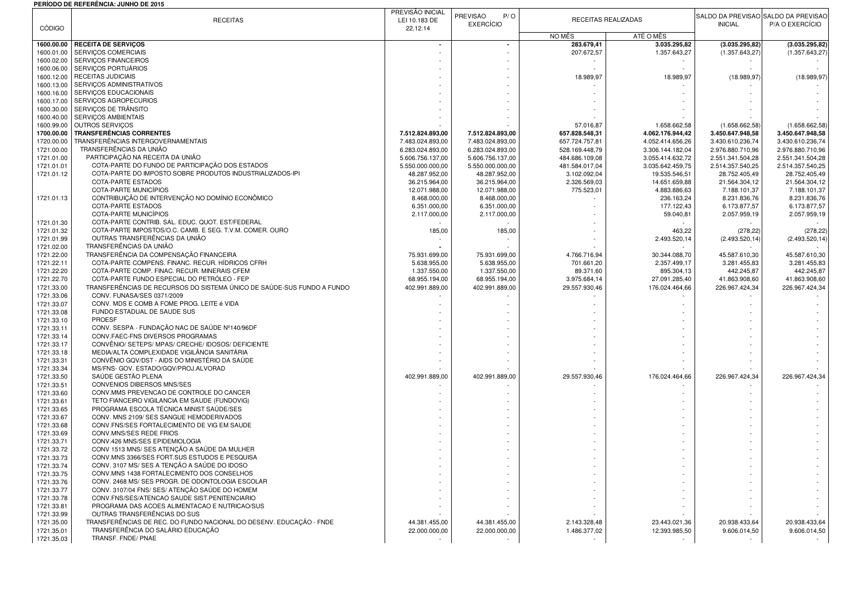## **PERÍODO DE REFERÊNCIA: JUNHO DE 2015**

|                          | PERIODO DE REFERENCIA: JUNHO DE 2015                                                            |                                      |                                      |                                  |                                      |                                      |                                      |
|--------------------------|-------------------------------------------------------------------------------------------------|--------------------------------------|--------------------------------------|----------------------------------|--------------------------------------|--------------------------------------|--------------------------------------|
|                          | <b>RECEITAS</b>                                                                                 | PREVISÃO INICIAL<br>LEI 10.183 DE    | PREVISÃO<br>P/O                      |                                  | RECEITAS REALIZADAS                  |                                      | SALDO DA PREVISÃO SALDO DA PREVISÃO  |
| <b>CÓDIGO</b>            |                                                                                                 | 22.12.14                             | <b>EXERCÍCIO</b>                     |                                  |                                      | <b>INICIAL</b>                       | P/A O EXERCÍCIO                      |
|                          |                                                                                                 |                                      |                                      | NO MÊS                           | ATÉ O MÊS                            |                                      |                                      |
| 1600.00.00               | <b>RECEITA DE SERVIÇOS</b>                                                                      | $\overline{\phantom{a}}$             |                                      | 283.679,41                       | 3.035.295,82                         | (3.035.295, 82)                      | (3.035.295, 82)                      |
| 1600.01.00               | SERVIÇOS COMERCIAIS                                                                             |                                      |                                      | 207.672,57                       | 1.357.643,27                         | (1.357.643, 27                       | (1.357.643, 27)                      |
| 1600.02.00               | <b>SERVICOS FINANCEIROS</b>                                                                     |                                      |                                      |                                  |                                      |                                      |                                      |
| 1600.06.00               | SERVICOS PORTUÁRIOS                                                                             |                                      |                                      |                                  |                                      |                                      |                                      |
| 1600.12.00               | RECEITAS JUDICIAIS                                                                              |                                      |                                      | 18.989,97                        | 18.989,97                            | (18.989, 97)                         | (18.989, 97)                         |
| 1600.13.00               | SERVIÇOS ADMINISTRATIVOS                                                                        |                                      |                                      |                                  |                                      |                                      |                                      |
| 1600.16.00               | SERVIÇOS EDUCACIONAIS                                                                           |                                      |                                      |                                  |                                      |                                      |                                      |
| 1600.17.00               | SERVIÇOS AGROPECURIOS                                                                           |                                      |                                      |                                  |                                      |                                      |                                      |
| 1600.30.00               | SERVIÇOS DE TRÂNSITO                                                                            |                                      |                                      |                                  |                                      |                                      |                                      |
| 1600.40.00               | SERVIÇOS AMBIENTAIS                                                                             |                                      |                                      |                                  |                                      |                                      |                                      |
| 1600.99.00               | OUTROS SERVIÇOS                                                                                 |                                      |                                      | 57.016,87                        | 1.658.662,58                         | (1.658.662,58)                       | (1.658.662,58)                       |
| 1700.00.00               | <b>TRANSFERÊNCIAS CORRENTES</b>                                                                 | 7.512.824.893,00                     | 7.512.824.893,00                     | 657.828.548,31                   | 4.062.176.944,42                     | 3.450.647.948,58                     | 3.450.647.948,58                     |
| 1720.00.00               | TRANSFERÊNCIAS INTERGOVERNAMENTAIS<br>TRANSFERÊNCIAS DA UNIÃO                                   | 7.483.024.893,00                     | 7.483.024.893,00                     | 657.724.757,81                   | 4.052.414.656,26                     | 3.430.610.236,74                     | 3.430.610.236,74                     |
| 1721.00.00<br>1721.01.00 | PARTICIPAÇÃO NA RECEITA DA UNIÃO                                                                | 6.283.024.893,00<br>5.606.756.137,00 | 6.283.024.893,00<br>5.606.756.137,00 | 528.169.448,79                   | 3.306.144.182,04<br>3.055.414.632,72 | 2.976.880.710,96<br>2.551.341.504,28 | 2.976.880.710,96<br>2.551.341.504,28 |
| 1721.01.01               | COTA-PARTE DO FUNDO DE PARTICIPAÇÃO DOS ESTADOS                                                 | 5.550.000.000,00                     | 5.550.000.000,00                     | 484.686.109,08<br>481.584.017,04 | 3.035.642.459,75                     | 2.514.357.540,25                     | 2.514.357.540,25                     |
| 1721.01.12               | COTA-PARTE DO IMPOSTO SOBRE PRODUTOS INDUSTRIALIZADOS-IPI                                       | 48.287.952,00                        | 48.287.952,00                        | 3.102.092,04                     | 19.535.546,51                        | 28.752.405,49                        | 28.752.405,49                        |
|                          | COTA-PARTE ESTADOS                                                                              | 36.215.964,00                        | 36.215.964,00                        | 2.326.569,03                     | 14.651.659,88                        | 21.564.304,12                        | 21.564.304,12                        |
|                          | COTA-PARTE MUNICÍPIOS                                                                           | 12.071.988,00                        | 12.071.988,00                        | 775.523,01                       | 4.883.886,63                         | 7.188.101,37                         | 7.188.101,37                         |
| 1721.01.13               | CONTRIBUIÇÃO DE INTERVENÇÃO NO DOMÍNIO ECONÔMICO                                                | 8.468.000,00                         | 8.468.000,00                         |                                  | 236.163,24                           | 8.231.836,76                         | 8.231.836,76                         |
|                          | COTA-PARTE ESTADOS                                                                              | 6.351.000,00                         | 6.351.000,00                         |                                  | 177.122,43                           | 6.173.877,57                         | 6.173.877,57                         |
|                          | COTA-PARTE MUNICÍPIOS                                                                           | 2.117.000,00                         | 2.117.000,00                         |                                  | 59.040,81                            | 2.057.959,19                         | 2.057.959,19                         |
| 1721.01.30               | COTA-PARTE CONTRIB. SAL. EDUC. QUOT. EST/FEDERAL                                                |                                      |                                      |                                  |                                      |                                      |                                      |
| 1721.01.32               | COTA-PARTE IMPOSTOS/O.C. CAMB. E SEG. T.V.M. COMER. OURO                                        | 185,00                               | 185,00                               |                                  | 463,22                               | (278, 22)                            | (278, 22)                            |
| 1721.01.99               | OUTRAS TRANSFERÊNCIAS DA UNIÃO                                                                  |                                      |                                      |                                  | 2.493.520,14                         | (2.493.520, 14                       | (2.493.520, 14)                      |
| 1721.02.00               | TRANSFERÊNCIAS DA UNIÃO                                                                         |                                      |                                      |                                  |                                      |                                      |                                      |
| 1721.22.00               | TRANSFERÊNCIA DA COMPENSAÇÃO FINANCEIRA                                                         | 75.931.699,00                        | 75.931.699,00                        | 4.766.716,94                     | 30.344.088,70                        | 45.587.610,30                        | 45.587.610,30                        |
| 1721.22.11               | COTA-PARTE COMPENS. FINANC. RECUR. HÍDRICOS CFRH                                                | 5.638.955,00                         | 5.638.955,00                         | 701.661,20                       | 2.357.499,17                         | 3.281.455,83                         | 3.281.455,83                         |
| 1721.22.20               | COTA-PARTE COMP. FINAC. RECUR. MINERAIS CFEM                                                    | 1.337.550,00                         | 1.337.550,00                         | 89.371,60                        | 895.304,13                           | 442.245,87                           | 442.245,87                           |
| 1721.22.70               | COTA-PARTE FUNDO ESPECIAL DO PETRÓLEO - FEP                                                     | 68.955.194,00                        | 68.955.194,00                        | 3.975.684,14                     | 27.091.285,40                        | 41.863.908,60                        | 41.863.908,60                        |
| 1721.33.00               | TRANSFERÊNCIAS DE RECURSOS DO SISTEMA ÚNICO DE SAÚDE-SUS FUNDO A FUNDO                          | 402.991.889,00                       | 402.991.889,00                       | 29.557.930,46                    | 176.024.464,66                       | 226.967.424,34                       | 226.967.424,34                       |
| 1721.33.06               | CONV. FUNASA/SES 0371/2009                                                                      |                                      |                                      |                                  |                                      |                                      |                                      |
| 1721.33.07               | CONV. MDS E COMB A FOME PROG. LEITE é VIDA                                                      |                                      |                                      |                                  |                                      |                                      |                                      |
| 1721.33.08               | FUNDO ESTADUAL DE SAUDE SUS                                                                     |                                      |                                      |                                  |                                      |                                      |                                      |
| 1721.33.10               | <b>PROESF</b>                                                                                   |                                      |                                      |                                  |                                      |                                      |                                      |
| 1721.33.11               | CONV. SESPA - FUNDAÇÃO NAC DE SAÚDE Nº140/96DF<br>CONV.FAEC-FNS DIVERSOS PROGRAMAS              |                                      |                                      |                                  |                                      |                                      |                                      |
| 1721.33.14<br>1721.33.17 | CONVÊNIO/ SETEPS/ MPAS/ CRECHE/ IDOSOS/ DEFICIENTE                                              |                                      |                                      |                                  |                                      |                                      |                                      |
| 1721.33.18               | MEDIA/ALTA COMPLEXIDADE VIGILÂNCIA SANITÁRIA                                                    |                                      |                                      |                                  |                                      |                                      |                                      |
| 1721.33.31               | CONVÊNIO GQV/DST - AIDS DO MINISTÉRIO DA SAÚDE                                                  |                                      |                                      |                                  |                                      |                                      |                                      |
| 1721.33.34               | MS/FNS- GOV. ESTADO/GQV/PROJ.ALVORAD                                                            |                                      |                                      |                                  |                                      |                                      |                                      |
| 1721.33.50               | SAÚDE GESTÃO PLENA                                                                              | 402.991.889,00                       | 402.991.889,00                       | 29.557.930,46                    | 176.024.464,66                       | 226.967.424,34                       | 226.967.424,34                       |
| 1721.33.51               | CONVENIOS DIBERSOS MNS/SES                                                                      |                                      |                                      |                                  |                                      |                                      |                                      |
| 1721.33.60               | CONV.MMS PREVENCAO DE CONTROLE DO CANCER                                                        |                                      |                                      |                                  |                                      |                                      |                                      |
| 1721.33.61               | TETO FIANCEIRO VIGILANCIA EM SAUDE (FUNDOVIG)                                                   |                                      |                                      |                                  |                                      |                                      |                                      |
| 1721.33.65               | PROGRAMA ESCOLA TÉCNICA MINIST SAÚDE/SES                                                        |                                      |                                      |                                  |                                      |                                      |                                      |
| 1721.33.67               | CONV. MNS 2109/ SES SANGUE HEMODERIVADOS                                                        |                                      |                                      |                                  |                                      |                                      |                                      |
| 1721.33.68               | CONV.FNS/SES FORTALECIMENTO DE VIG EM SAUDE                                                     |                                      |                                      |                                  |                                      |                                      |                                      |
| 1721.33.69               | CONV.MNS/SES REDE FRIOS                                                                         |                                      |                                      |                                  |                                      |                                      |                                      |
| 1721.33.71               | CONV.426 MNS/SES EPIDEMIOLOGIA                                                                  |                                      |                                      |                                  |                                      |                                      |                                      |
| 1721.33.72               | CONV 1513 MNS/ SES ATENÇÃO A SAÚDE DA MULHER                                                    |                                      |                                      |                                  |                                      |                                      |                                      |
| 1721.33.73               | CONV.MNS 3366/SES FORT.SUS ESTUDOS E PESQUISA                                                   |                                      |                                      |                                  |                                      |                                      |                                      |
| 1721.33.74               | CONV. 3107 MS/ SES A TENÇÃO A SAÚDE DO IDOSO                                                    |                                      |                                      |                                  |                                      |                                      |                                      |
| 1721.33.75               | CONV.MNS 1438 FORTALECIMENTO DOS CONSELHOS                                                      |                                      |                                      |                                  |                                      |                                      |                                      |
| 1721.33.76<br>1721.33.77 | CONV. 2468 MS/ SES PROGR. DE ODONTOLOGIA ESCOLAR                                                |                                      |                                      |                                  |                                      |                                      |                                      |
|                          | CONV. 3107/04 FNS/ SES/ ATENÇÃO SAÚDE DO HOMEM<br>CONV.FNS/SES/ATENCAO SAUDE SIST.PENITENCIARIO |                                      |                                      |                                  |                                      |                                      |                                      |
| 1721.33.78<br>1721.33.81 | PROGRAMA DAS ACOES ALIMENTACAO E NUTRICAO/SUS                                                   |                                      |                                      |                                  |                                      |                                      |                                      |
| 1721.33.99               | OUTRAS TRANSFERÊNCIAS DO SUS                                                                    |                                      |                                      |                                  |                                      |                                      |                                      |
| 1721.35.00               | TRANSFERÊNCIAS DE REC. DO FUNDO NACIONAL DO DESENV. EDUCAÇÃO - FNDE                             | 44.381.455,00                        | 44.381.455,00                        | 2.143.328.48                     | 23.443.021,36                        | 20.938.433,64                        | 20.938.433,64                        |
| 1721.35.01               | TRANSFERÊNCIA DO SALÁRIO EDUCAÇÃO                                                               | 22.000.000,00                        | 22.000.000,00                        | 1.486.377,02                     | 12.393.985,50                        | 9.606.014,50                         | 9.606.014,50                         |
| 1721.35.03               | TRANSF. FNDE/ PNAE                                                                              |                                      |                                      |                                  |                                      |                                      |                                      |
|                          |                                                                                                 |                                      |                                      |                                  |                                      |                                      |                                      |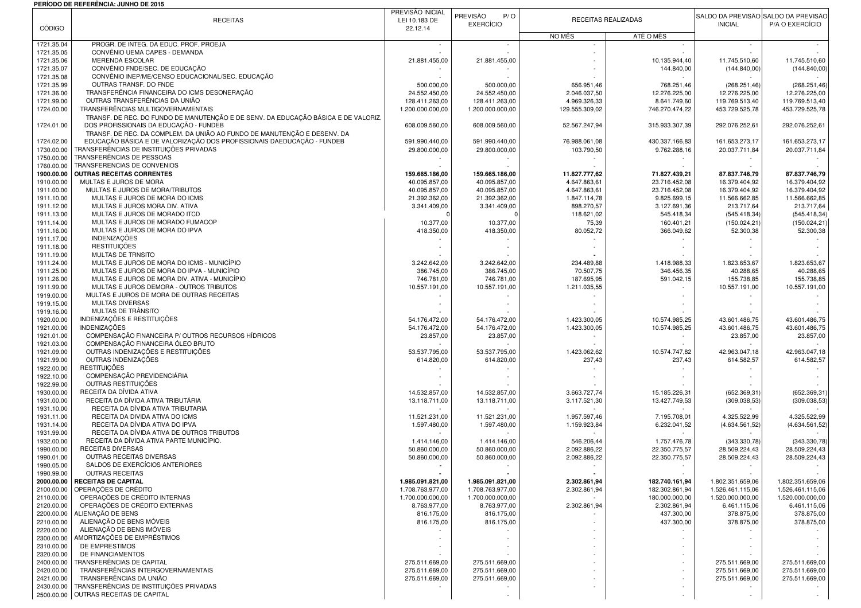## **PERÍODO DE REFERÊNCIA: JUNHO DE 2015**

| <b>CÓDIGO</b>            | <b>RECEITAS</b>                                                                                                              | PREVISÃO INICIAL<br>LEI 10.183 DE<br>22.12.14 | PREVISÃO<br>P/O<br><b>EXERCÍCIO</b>  | RECEITAS REALIZADAS          |                                  | <b>INICIAL</b>                       | SALDO DA PREVISÃO SALDO DA PREVISÃO<br>P/A O EXERCÍCIO |
|--------------------------|------------------------------------------------------------------------------------------------------------------------------|-----------------------------------------------|--------------------------------------|------------------------------|----------------------------------|--------------------------------------|--------------------------------------------------------|
|                          |                                                                                                                              |                                               |                                      | NO MÊS                       | ATÉ O MÊS                        |                                      |                                                        |
| 1721.35.04               | PROGR. DE INTEG. DA EDUC. PROF. PROEJA                                                                                       | $\sim$                                        |                                      |                              |                                  |                                      |                                                        |
| 1721.35.05<br>1721.35.06 | CONVÊNIO UEMA CAPES - DEMANDA<br><b>MERENDA ESCOLAR</b>                                                                      | 21.881.455,00                                 | 21.881.455,00                        |                              | 10.135.944,40                    | 11.745.510,60                        | 11.745.510,60                                          |
| 1721.35.07               | CONVÊNIO FNDE/SEC. DE EDUCAÇÃO                                                                                               |                                               |                                      |                              | 144.840,00                       | (144.840,00)                         | (144.840,00)                                           |
| 1721.35.08               | CONVÊNIO INEP/ME/CENSO EDUCACIONAL/SEC. EDUCAÇÃO                                                                             |                                               |                                      |                              |                                  |                                      |                                                        |
| 1721.35.99<br>1721.36.00 | OUTRAS TRANSF. DO FNDE<br>TRANSFERÊNCIA FINANCEIRA DO ICMS DESONERAÇÃO                                                       | 500.000,00<br>24.552.450,00                   | 500.000,00<br>24.552.450,00          | 656.951,46<br>2.046.037,50   | 768.251,46<br>12.276.225,00      | (268.251, 46)<br>12.276.225,00       | (268.251, 46)<br>12.276.225,00                         |
| 1721.99.00               | OUTRAS TRANSFERÊNCIAS DA UNIÃO                                                                                               | 128.411.263,00                                | 128.411.263,00                       | 4.969.326,33                 | 8.641.749,60                     | 119.769.513,40                       | 119.769.513,40                                         |
| 1724.00.00               | TRANSFERÊNCIAS MULTIGOVERNAMENTAIS                                                                                           | 1.200.000.000,00                              | 1.200.000.000,00                     | 129.555.309,02               | 746.270.474,22                   | 453.729.525,78                       | 453.729.525,78                                         |
|                          | TRANSF. DE REC. DO FUNDO DE MANUTENÇÃO E DE SENV. DA EDUCAÇÃO BÁSICA E DE VALORIZ.<br>DOS PROFISSIONAIS DA EDUCAÇÃO - FUNDEB |                                               |                                      |                              |                                  |                                      |                                                        |
| 1724.01.00               | TRANSF. DE REC. DA COMPLEM. DA UNIÃO AO FUNDO DE MANUTENÇÃO E DESENV. DA                                                     | 608.009.560,00                                | 608.009.560,00                       | 52.567.247,94                | 315.933.307,39                   | 292.076.252,61                       | 292.076.252,61                                         |
| 1724.02.00               | EDUCAÇÃO BÁSICA E DE VALORIZAÇÃO DOS PROFISSIONAIS DAEDUCAÇÃO - FUNDEB                                                       | 591.990.440,00                                | 591.990.440,00                       | 76.988.061.08                | 430.337.166.83                   | 161.653.273.17                       | 161.653.273,17                                         |
| 1730.00.00               | TRANSFERÊNCIAS DE INSTITUIÇÕES PRIVADAS                                                                                      | 29.800.000,00                                 | 29.800.000,00                        | 103.790,50                   | 9.762.288,16                     | 20.037.711,84                        | 20.037.711,84                                          |
| 1750.00.00<br>1760.00.00 | TRANSFERÊNCIAS DE PESSOAS<br>TRANSFERENCIAS DE CONVENIOS                                                                     |                                               |                                      |                              |                                  |                                      |                                                        |
| 1900.00.00               | <b>OUTRAS RECEITAS CORRENTES</b>                                                                                             | 159.665.186,00                                | 159.665.186,00                       | 11.827.777,62                | 71.827.439,21                    | 87.837.746,79                        | 87.837.746,79                                          |
| 1910.00.00               | MULTAS E JUROS DE MORA                                                                                                       | 40.095.857,00                                 | 40.095.857,00                        | 4.647.863,61                 | 23.716.452,08                    | 16.379.404,92                        | 16.379.404,92                                          |
| 1911.00.00               | MULTAS E JUROS DE MORA/TRIBUTOS                                                                                              | 40.095.857,00                                 | 40.095.857,00                        | 4.647.863,61                 | 23.716.452,08                    | 16.379.404,92                        | 16.379.404,92                                          |
| 1911.10.00<br>1911.12.00 | MULTAS E JUROS DE MORA DO ICMS<br>MULTAS E JUROS MORA DIV. ATIVA                                                             | 21.392.362,00<br>3.341.409,00                 | 21.392.362,00<br>3.341.409,00        | 1.847.114,78<br>898.270,57   | 9.825.699,15<br>3.127.691,36     | 11.566.662,85<br>213.717,64          | 11.566.662,85<br>213.717,64                            |
| 1911.13.00               | MULTAS E JUROS DE MORADO ITCD                                                                                                |                                               |                                      | 118.621,02                   | 545.418,34                       | (545.418, 34                         | (545.418, 34)                                          |
| 1911.14.00               | MULTAS E JUROS DE MORADO FUMACOP                                                                                             | 10.377,00                                     | 10.377,00                            | 75,39                        | 160.401,21                       | (150.024, 21)                        | (150.024, 21)                                          |
| 1911.16.00               | MULTAS E JUROS DE MORA DO IPVA                                                                                               | 418.350,00                                    | 418.350,00                           | 80.052,72                    | 366.049,62                       | 52.300,38                            | 52.300,38                                              |
| 1911.17.00<br>1911.18.00 | <b>INDENIZAÇÕES</b><br><b>RESTITUIÇÕES</b>                                                                                   |                                               |                                      |                              |                                  |                                      |                                                        |
| 1911.19.00               | <b>MULTAS DE TRNSITO</b>                                                                                                     |                                               |                                      |                              |                                  |                                      |                                                        |
| 1911.24.00               | MULTAS E JUROS DE MORA DO ICMS - MUNICÍPIO                                                                                   | 3.242.642.00                                  | 3.242.642,00                         | 234.489,88                   | 1.418.988,33                     | 1.823.653,67                         | 1.823.653,67                                           |
| 1911.25.00               | MULTAS E JUROS DE MORA DO IPVA - MUNICÍPIO                                                                                   | 386.745,00                                    | 386.745,00                           | 70.507,75                    | 346.456,35                       | 40.288,65                            | 40.288,65                                              |
| 1911.26.00               | MULTAS E JUROS DE MORA DIV. ATIVA - MUNICÍPIO<br>MULTAS E JUROS DEMORA - OUTROS TRIBUTOS                                     | 746.781.00                                    | 746.781,00                           | 187.695,95                   | 591.042.15                       | 155.738,85                           | 155.738,85                                             |
| 1911.99.00<br>1919.00.00 | MULTAS E JUROS DE MORA DE OUTRAS RECEITAS                                                                                    | 10.557.191,00                                 | 10.557.191,00                        | 1.211.035,55                 |                                  | 10.557.191,00                        | 10.557.191,00                                          |
| 1919.15.00               | MULTAS DIVERSAS                                                                                                              |                                               |                                      |                              |                                  |                                      |                                                        |
| 1919.16.00               | MULTAS DE TRÂNSITO                                                                                                           |                                               |                                      |                              |                                  |                                      |                                                        |
| 1920.00.00               | INDENIZAÇÕES E RESTITUIÇÕES                                                                                                  | 54.176.472,00                                 | 54.176.472,00                        | 1.423.300,05                 | 10.574.985,25                    | 43.601.486,75                        | 43.601.486,75                                          |
| 1921.00.00<br>1921.01.00 | INDENIZAÇÕES<br>COMPENSAÇÃO FINANCEIRA P/ OUTROS RECURSOS HÍDRICOS                                                           | 54.176.472,00<br>23.857,00                    | 54.176.472,00<br>23.857,00           | 1.423.300,05                 | 10.574.985,25                    | 43.601.486,75<br>23.857,00           | 43.601.486,75<br>23.857,00                             |
| 1921.03.00               | COMPENSAÇÃO FINANCEIRA ÓLEO BRUTO                                                                                            |                                               |                                      |                              |                                  |                                      |                                                        |
| 1921.09.00               | OUTRAS INDENIZAÇÕES E RESTITUIÇÕES                                                                                           | 53.537.795,00                                 | 53.537.795,00                        | 1.423.062,62                 | 10.574.747,82                    | 42.963.047,18                        | 42.963.047,18                                          |
| 1921.99.00               | OUTRAS INDENIZAÇÕES                                                                                                          | 614.820,00                                    | 614.820,00                           | 237,43                       | 237,43                           | 614.582,57                           | 614.582,57                                             |
| 1922.00.00<br>1922.10.00 | <b>RESTITUICÕES</b><br>COMPENSAÇÃO PREVIDENCIÁRIA                                                                            |                                               |                                      |                              |                                  |                                      |                                                        |
| 1922.99.00               | OUTRAS RESTITUIÇÕES                                                                                                          |                                               |                                      |                              |                                  |                                      |                                                        |
| 1930.00.00               | RECEITA DA DÍVIDA ATIVA                                                                                                      | 14.532.857,00                                 | 14.532.857,00                        | 3.663.727,74                 | 15.185.226,31                    | (652.369, 31                         | (652.369,31)                                           |
| 1931.00.00               | RECEITA DA DÍVIDA ATIVA TRIBUTÁRIA                                                                                           | 13.118.711,00                                 | 13.118.711,00                        | 3.117.521,30                 | 13.427.749,53                    | (309.038, 53)                        | (309.038, 53)                                          |
| 1931.10.00<br>1931.11.00 | RECEITA DA DÍVIDA ATIVA TRIBUTARIA<br>RECEITA DA DIVIDA ATIVA DO ICMS                                                        | 11.521.231,00                                 | 11.521.231,00                        | 1.957.597,46                 | 7.195.708,01                     | 4.325.522,99                         | 4.325.522,99                                           |
| 1931.14.00               | RECEITA DA DÍVIDA ATIVA DO IPVA                                                                                              | 1.597.480,00                                  | 1.597.480,00                         | 1.159.923,84                 | 6.232.041,52                     | (4.634.561,52)                       | (4.634.561,52)                                         |
| 1931.99.00               | RECEITA DA DÍVIDA ATIVA DE OUTROS TRIBUTOS                                                                                   |                                               |                                      |                              |                                  |                                      |                                                        |
| 1932.00.00               | RECEITA DA DÍVIDA ATIVA PARTE MUNICÍPIO.                                                                                     | 1.414.146,00                                  | 1.414.146,00                         | 546.206,44                   | 1.757.476,78                     | (343.330,78)                         | (343.330,78)                                           |
| 1990.00.00<br>1990.01.00 | RECEITAS DIVERSAS<br>OUTRAS RECEITAS DIVERSAS                                                                                | 50.860.000,00<br>50.860.000,00                | 50.860.000,00<br>50.860.000,00       | 2.092.886,22<br>2.092.886,22 | 22.350.775,57<br>22.350.775,57   | 28.509.224,43<br>28.509.224,43       | 28.509.224,43<br>28.509.224,43                         |
| 1990.05.00               | SALDOS DE EXERCÍCIOS ANTERIORES                                                                                              |                                               |                                      |                              |                                  |                                      |                                                        |
| 1990.99.00               | <b>OUTRAS RECEITAS</b>                                                                                                       |                                               |                                      |                              |                                  |                                      |                                                        |
|                          | 2000.00.00 RECEITAS DE CAPITAL<br>OPERAÇÕES DE CRÉDITO                                                                       | 1.985.091.821,00                              | 1.985.091.821,00                     | 2.302.861,94                 | 182.740.161,94                   | 1.802.351.659,06                     | 1.802.351.659,06                                       |
| 2100.00.00<br>2110.00.00 | OPERAÇÕES DE CRÉDITO INTERNAS                                                                                                | 1.708.763.977,00<br>1.700.000.000,00          | 1.708.763.977,00<br>1.700.000.000,00 | 2.302.861,94                 | 182.302.861,94<br>180.000.000,00 | 1.526.461.115,06<br>1.520.000.000,00 | 1.526.461.115,06<br>1.520.000.000,00                   |
| 2120.00.00               | OPERAÇÕES DE CRÉDITO EXTERNAS                                                                                                | 8.763.977,00                                  | 8.763.977,00                         | 2.302.861,94                 | 2.302.861,94                     | 6.461.115,06                         | 6.461.115,06                                           |
| 2200.00.00               | ALIENAÇÃO DE BENS                                                                                                            | 816.175,00                                    | 816.175,00                           |                              | 437.300.00                       | 378.875,00                           | 378.875,00                                             |
| 2210.00.00               | ALIENAÇÃO DE BENS MÓVEIS                                                                                                     | 816.175,00                                    | 816.175,00                           |                              | 437.300,00                       | 378.875,00                           | 378.875,00                                             |
| 2220.00.00<br>2300.00.00 | ALIENAÇÃO DE BENS IMÓVEIS<br>AMORTIZAÇÕES DE EMPRÉSTIMOS                                                                     |                                               |                                      |                              |                                  |                                      |                                                        |
| 2310.00.00               | DE EMPRESTIMOS                                                                                                               |                                               |                                      |                              |                                  |                                      |                                                        |
| 2320.00.00               | DE FINANCIAMENTOS                                                                                                            |                                               |                                      |                              |                                  |                                      |                                                        |
| 2400.00.00               | TRANSFERÊNCIAS DE CAPITAL                                                                                                    | 275.511.669,00                                | 275.511.669,00                       |                              |                                  | 275.511.669,00                       | 275.511.669,00                                         |
| 2420.00.00<br>2421.00.00 | TRANSFERÊNCIAS INTERGOVERNAMENTAIS<br>TRANSFERÊNCIAS DA UNIÃO                                                                | 275.511.669.00<br>275.511.669,00              | 275.511.669,00<br>275.511.669,00     |                              |                                  | 275.511.669,00<br>275.511.669,00     | 275.511.669,00<br>275.511.669,00                       |
| 2430.00.00               | TRANSFERÊNCIAS DE INSTITUIÇÕES PRIVADAS                                                                                      |                                               |                                      |                              |                                  |                                      |                                                        |
|                          | 2500.00.00 OUTRAS RECEITAS DE CAPITAL                                                                                        |                                               |                                      |                              |                                  |                                      |                                                        |